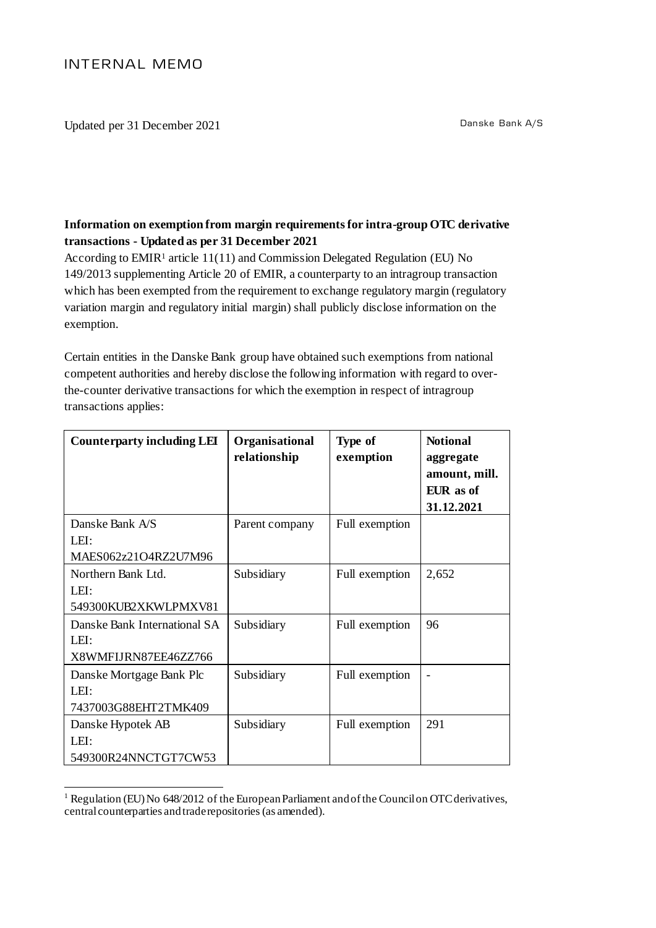Updated per 31 December 2021 Danske Bank A/S

## **Information on exemption from margin requirements for intra-group OTC derivative transactions - Updated as per 31 December 2021**

According to  $EMIR<sup>1</sup>$  article 11(11) and Commission Delegated Regulation (EU) No 149/2013 supplementing Article 20 of EMIR, a counterparty to an intragroup transaction which has been exempted from the requirement to exchange regulatory margin (regulatory variation margin and regulatory initial margin) shall publicly disclose information on the exemption.

Certain entities in the Danske Bank group have obtained such exemptions from national competent authorities and hereby disclose the following information with regard to overthe-counter derivative transactions for which the exemption in respect of intragroup transactions applies:

| <b>Counterparty including LEI</b>                            | Organisational<br>relationship | Type of<br>exemption | <b>Notional</b><br>aggregate<br>amount, mill.<br>EUR as of<br>31.12.2021 |
|--------------------------------------------------------------|--------------------------------|----------------------|--------------------------------------------------------------------------|
| Danske Bank A/S<br>LEI:                                      | Parent company                 | Full exemption       |                                                                          |
| MAES062z21O4RZ2U7M96                                         |                                |                      |                                                                          |
| Northern Bank Ltd.<br>LEI:<br>549300KUB2XKWLPMXV81           | Subsidiary                     | Full exemption       | 2,652                                                                    |
| Danske Bank International SA<br>LEI:<br>X8WMFIJRN87EE46ZZ766 | Subsidiary                     | Full exemption       | 96                                                                       |
| Danske Mortgage Bank Plc<br>LEI:<br>7437003G88EHT2TMK409     | Subsidiary                     | Full exemption       |                                                                          |
| Danske Hypotek AB<br>LEI:<br>549300R24NNCTGT7CW53            | Subsidiary                     | Full exemption       | 291                                                                      |

<sup>-</sup><sup>1</sup> Regulation (EU) No 648/2012 of the European Parliament and of the Council on OTC derivatives, central counterparties and trade repositories(as amended).